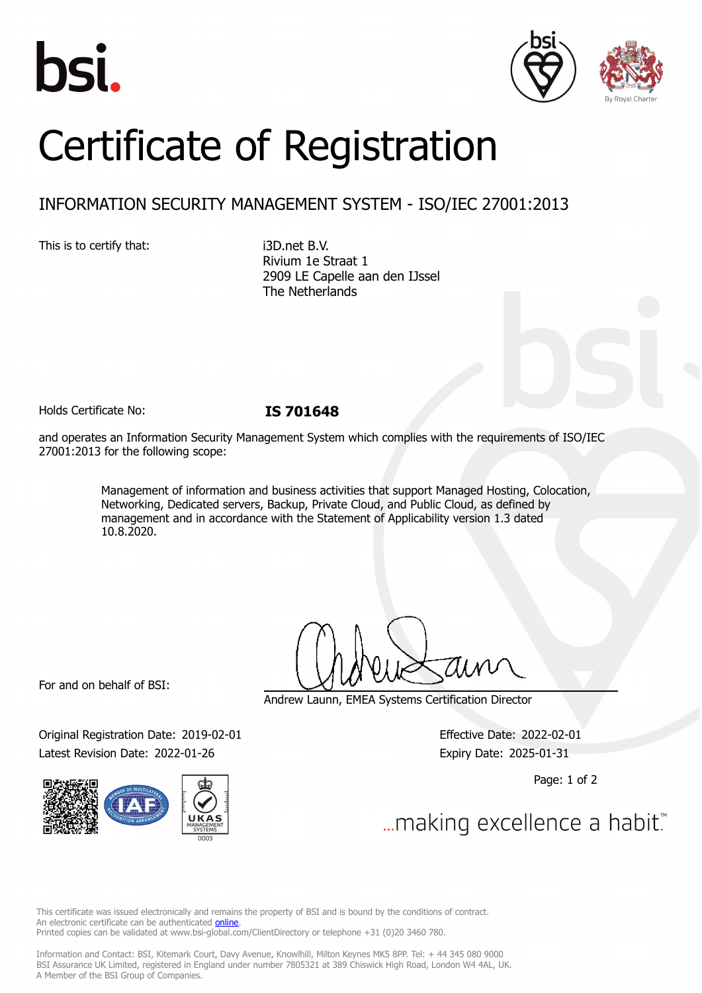





## Certificate of Registration

## INFORMATION SECURITY MANAGEMENT SYSTEM - ISO/IEC 27001:2013

This is to certify that: i3D.net B.V.

Rivium 1e Straat 1 2909 LE Capelle aan den IJssel The Netherlands

Holds Certificate No: **IS 701648**

and operates an Information Security Management System which complies with the requirements of ISO/IEC 27001:2013 for the following scope:

> Management of information and business activities that support Managed Hosting, Colocation, Networking, Dedicated servers, Backup, Private Cloud, and Public Cloud, as defined by management and in accordance with the Statement of Applicability version 1.3 dated 10.8.2020.

For and on behalf of BSI:

Original Registration Date: 2019-02-01 Effective Date: 2022-02-01 Latest Revision Date: 2022-01-26 Expiry Date: 2025-01-31



Andrew Launn, EMEA Systems Certification Director

Page: 1 of 2

... making excellence a habit.

This certificate was issued electronically and remains the property of BSI and is bound by the conditions of contract. An electronic certificate can be authenticated **[online](https://pgplus.bsigroup.com/CertificateValidation/CertificateValidator.aspx?CertificateNumber=IS+701648&ReIssueDate=26%2f01%2f2022&Template=cemea_en)**. Printed copies can be validated at www.bsi-global.com/ClientDirectory or telephone +31 (0)20 3460 780.

Information and Contact: BSI, Kitemark Court, Davy Avenue, Knowlhill, Milton Keynes MK5 8PP. Tel: + 44 345 080 9000 BSI Assurance UK Limited, registered in England under number 7805321 at 389 Chiswick High Road, London W4 4AL, UK. A Member of the BSI Group of Companies.